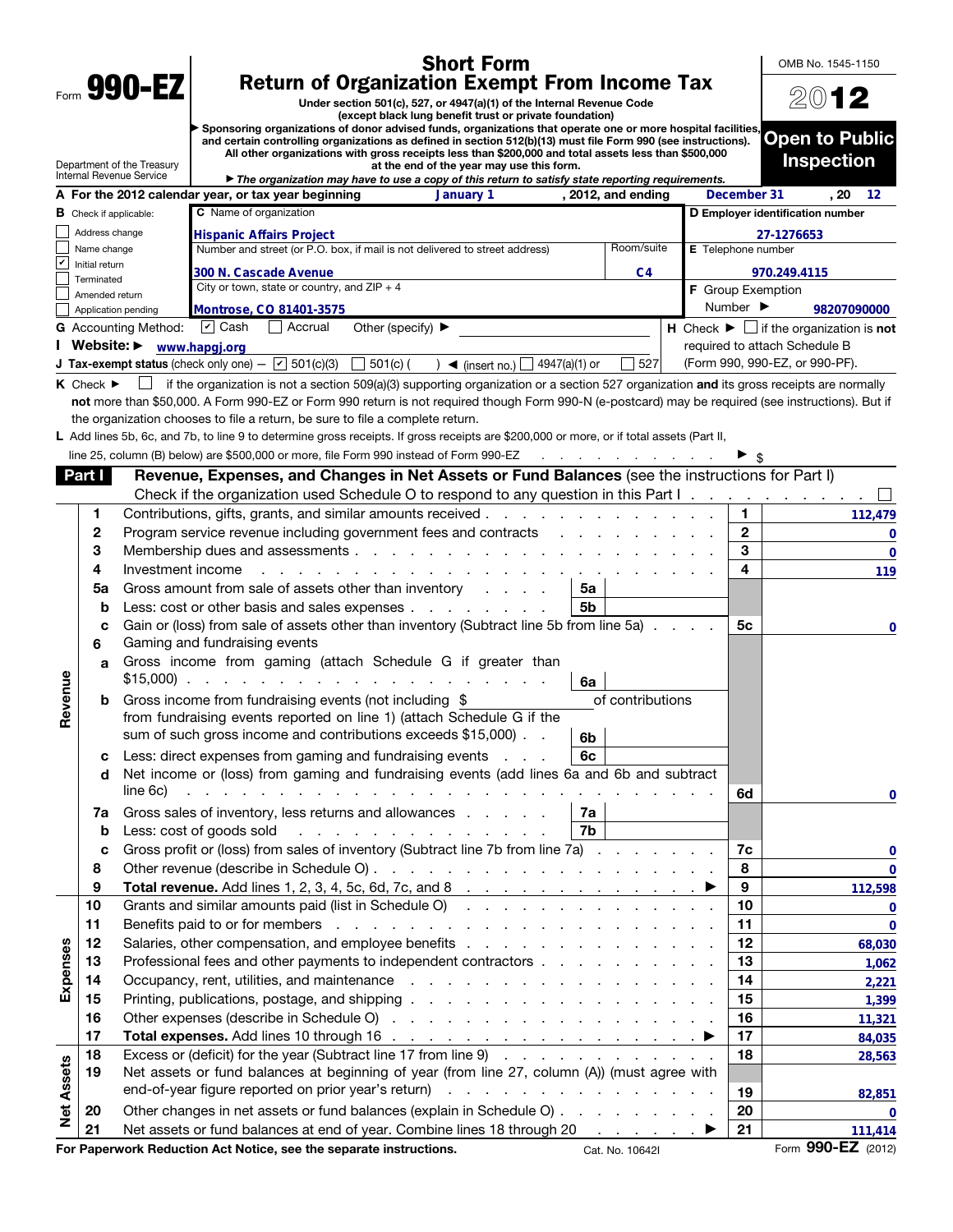|                                                                                                                                              |                                 |                                 | <b>Short Form</b>                                                                                                                                                                                                                                                                            |                  |                           |                              | OMB No. 1545-1150                                             |  |
|----------------------------------------------------------------------------------------------------------------------------------------------|---------------------------------|---------------------------------|----------------------------------------------------------------------------------------------------------------------------------------------------------------------------------------------------------------------------------------------------------------------------------------------|------------------|---------------------------|------------------------------|---------------------------------------------------------------|--|
| Form 990-EZ<br><b>Return of Organization Exempt From Income Tax</b><br>Under section 501(c), 527, or 4947(a)(1) of the Internal Revenue Code |                                 |                                 |                                                                                                                                                                                                                                                                                              |                  |                           | 2012                         |                                                               |  |
|                                                                                                                                              |                                 |                                 | (except black lung benefit trust or private foundation)<br>Sponsoring organizations of donor advised funds, organizations that operate one or more hospital facilities,                                                                                                                      |                  |                           |                              |                                                               |  |
|                                                                                                                                              |                                 |                                 | and certain controlling organizations as defined in section 512(b)(13) must file Form 990 (see instructions).                                                                                                                                                                                |                  |                           |                              | <b>Open to Public</b>                                         |  |
|                                                                                                                                              |                                 | Department of the Treasury      | All other organizations with gross receipts less than \$200,000 and total assets less than \$500,000<br>at the end of the year may use this form.                                                                                                                                            |                  |                           |                              | <b>Inspection</b>                                             |  |
|                                                                                                                                              |                                 | <b>Internal Revenue Service</b> | The organization may have to use a copy of this return to satisfy state reporting requirements.                                                                                                                                                                                              |                  |                           |                              |                                                               |  |
|                                                                                                                                              |                                 |                                 | A For the 2012 calendar year, or tax year beginning<br>January 1<br>, 2012, and ending                                                                                                                                                                                                       |                  |                           | December 31                  | . 20<br>12                                                    |  |
|                                                                                                                                              |                                 | <b>B</b> Check if applicable:   | <b>C</b> Name of organization                                                                                                                                                                                                                                                                |                  |                           |                              | D Employer identification number                              |  |
|                                                                                                                                              | Address change<br>Name change   |                                 | <b>Hispanic Affairs Project</b><br>Number and street (or P.O. box, if mail is not delivered to street address)                                                                                                                                                                               | Room/suite       | <b>E</b> Telephone number |                              | 27-1276653                                                    |  |
| V                                                                                                                                            | Initial return                  |                                 |                                                                                                                                                                                                                                                                                              |                  |                           |                              |                                                               |  |
|                                                                                                                                              | Terminated                      |                                 | 300 N. Cascade Avenue<br>City or town, state or country, and $ZIP + 4$                                                                                                                                                                                                                       | C4               | <b>F</b> Group Exemption  |                              | 970.249.4115                                                  |  |
|                                                                                                                                              | Amended return                  | Application pending             | Montrose, CO 81401-3575                                                                                                                                                                                                                                                                      |                  |                           | Number $\blacktriangleright$ | 98207090000                                                   |  |
|                                                                                                                                              |                                 | <b>G</b> Accounting Method:     | $ v $ Cash<br>Accrual<br>Other (specify) $\blacktriangleright$                                                                                                                                                                                                                               |                  |                           |                              | H Check $\blacktriangleright \Box$ if the organization is not |  |
|                                                                                                                                              |                                 | Website: > www.hapgj.org        |                                                                                                                                                                                                                                                                                              |                  |                           |                              | required to attach Schedule B                                 |  |
|                                                                                                                                              |                                 |                                 | <b>J Tax-exempt status</b> (check only one) $ \boxed{\check{V}}$ 501(c)(3) $\boxed{\phantom{0}}$ 501(c) (<br>4947(a)(1) or<br>$\rightarrow$ (insert no.)                                                                                                                                     | 527              |                           |                              | (Form 990, 990-EZ, or 990-PF).                                |  |
|                                                                                                                                              | $K$ Check $\blacktriangleright$ |                                 | if the organization is not a section 509(a)(3) supporting organization or a section 527 organization and its gross receipts are normally                                                                                                                                                     |                  |                           |                              |                                                               |  |
|                                                                                                                                              |                                 |                                 | not more than \$50,000. A Form 990-EZ or Form 990 return is not required though Form 990-N (e-postcard) may be required (see instructions). But if                                                                                                                                           |                  |                           |                              |                                                               |  |
|                                                                                                                                              |                                 |                                 | the organization chooses to file a return, be sure to file a complete return.                                                                                                                                                                                                                |                  |                           |                              |                                                               |  |
|                                                                                                                                              |                                 |                                 | L Add lines 5b, 6c, and 7b, to line 9 to determine gross receipts. If gross receipts are \$200,000 or more, or if total assets (Part II,                                                                                                                                                     |                  |                           |                              |                                                               |  |
|                                                                                                                                              |                                 |                                 | line 25, column (B) below) are \$500,000 or more, file Form 990 instead of Form 990-EZ<br>and a state of the contract of the                                                                                                                                                                 |                  |                           |                              |                                                               |  |
|                                                                                                                                              | Part I                          |                                 | Revenue, Expenses, and Changes in Net Assets or Fund Balances (see the instructions for Part I)                                                                                                                                                                                              |                  |                           |                              |                                                               |  |
|                                                                                                                                              |                                 |                                 | Check if the organization used Schedule O to respond to any question in this Part I.                                                                                                                                                                                                         |                  |                           |                              |                                                               |  |
|                                                                                                                                              | 1                               |                                 |                                                                                                                                                                                                                                                                                              |                  |                           | 1.                           | 112,479                                                       |  |
|                                                                                                                                              | 2<br>3                          |                                 | Program service revenue including government fees and contracts                                                                                                                                                                                                                              |                  |                           | $\mathbf{2}$<br>3            | 0                                                             |  |
|                                                                                                                                              | 4                               | Investment income               |                                                                                                                                                                                                                                                                                              |                  |                           | 4                            | $\bf{0}$                                                      |  |
|                                                                                                                                              | 5a                              |                                 | a construction of the construction of the construction of the construction of the construction of the construction of the construction of the construction of the construction of the construction of the construction of the<br>Gross amount from sale of assets other than inventory<br>5a |                  |                           |                              | 119                                                           |  |
|                                                                                                                                              | b                               |                                 | Less: cost or other basis and sales expenses<br>5b                                                                                                                                                                                                                                           |                  |                           |                              |                                                               |  |
|                                                                                                                                              | C                               |                                 | Gain or (loss) from sale of assets other than inventory (Subtract line 5b from line 5a)                                                                                                                                                                                                      |                  |                           | 5с                           | 0                                                             |  |
|                                                                                                                                              | 6                               |                                 | Gaming and fundraising events                                                                                                                                                                                                                                                                |                  |                           |                              |                                                               |  |
|                                                                                                                                              | a                               |                                 | Gross income from gaming (attach Schedule G if greater than                                                                                                                                                                                                                                  |                  |                           |                              |                                                               |  |
| Revenue                                                                                                                                      |                                 |                                 | 6a                                                                                                                                                                                                                                                                                           | of contributions |                           |                              |                                                               |  |
|                                                                                                                                              | b                               |                                 | Gross income from fundraising events (not including \$<br>from fundraising events reported on line 1) (attach Schedule G if the                                                                                                                                                              |                  |                           |                              |                                                               |  |
|                                                                                                                                              |                                 |                                 | sum of such gross income and contributions exceeds \$15,000).<br>6b                                                                                                                                                                                                                          |                  |                           |                              |                                                               |  |
|                                                                                                                                              | c                               |                                 | Less: direct expenses from gaming and fundraising events<br>6c                                                                                                                                                                                                                               |                  |                           |                              |                                                               |  |
|                                                                                                                                              | d                               |                                 | Net income or (loss) from gaming and fundraising events (add lines 6a and 6b and subtract                                                                                                                                                                                                    |                  |                           |                              |                                                               |  |
|                                                                                                                                              |                                 | line 6c)                        | المنافر المنافر المنافر المنافر المنافر المنافر المنافر المنافر المنافر المنافر المنافر المنافر المنافر المنافر                                                                                                                                                                              |                  |                           | 6d                           | 0                                                             |  |
|                                                                                                                                              | 7a                              |                                 | Gross sales of inventory, less returns and allowances<br>7a                                                                                                                                                                                                                                  |                  |                           |                              |                                                               |  |
|                                                                                                                                              | b                               |                                 | Less: cost of goods sold<br>7b<br>design and contract to the contract of the                                                                                                                                                                                                                 |                  |                           |                              |                                                               |  |
|                                                                                                                                              | C                               |                                 | Gross profit or (loss) from sales of inventory (Subtract line 7b from line 7a)                                                                                                                                                                                                               |                  |                           | 7c                           | 0                                                             |  |
|                                                                                                                                              | 8                               |                                 |                                                                                                                                                                                                                                                                                              |                  |                           | 8                            | 0                                                             |  |
|                                                                                                                                              | 9                               |                                 | Total revenue. Add lines 1, 2, 3, 4, 5c, 6d, 7c, and 8 $\ldots$ $\ldots$ $\ldots$ $\ldots$ $\ldots$ $\ldots$                                                                                                                                                                                 |                  |                           | 9                            | 112,598                                                       |  |
|                                                                                                                                              | 10                              |                                 | Grants and similar amounts paid (list in Schedule O)                                                                                                                                                                                                                                         |                  |                           | 10                           | 0                                                             |  |
|                                                                                                                                              | 11                              |                                 |                                                                                                                                                                                                                                                                                              |                  |                           | 11                           | $\bf{0}$                                                      |  |
| Expenses                                                                                                                                     | 12<br>13                        |                                 | Professional fees and other payments to independent contractors                                                                                                                                                                                                                              |                  |                           | 12<br>13                     | 68,030                                                        |  |
|                                                                                                                                              | 14                              |                                 |                                                                                                                                                                                                                                                                                              |                  |                           | 14                           | 1,062<br>2,221                                                |  |
|                                                                                                                                              | 15                              |                                 |                                                                                                                                                                                                                                                                                              |                  |                           | 15                           | 1,399                                                         |  |
|                                                                                                                                              | 16                              |                                 |                                                                                                                                                                                                                                                                                              |                  |                           | 16                           | 11,321                                                        |  |
|                                                                                                                                              | 17                              |                                 |                                                                                                                                                                                                                                                                                              |                  |                           | 17                           | 84,035                                                        |  |
|                                                                                                                                              | 18                              |                                 | Excess or (deficit) for the year (Subtract line 17 from line 9)                                                                                                                                                                                                                              |                  |                           | 18                           | 28,563                                                        |  |
|                                                                                                                                              | 19                              |                                 | Net assets or fund balances at beginning of year (from line 27, column (A)) (must agree with                                                                                                                                                                                                 |                  |                           |                              |                                                               |  |
|                                                                                                                                              |                                 |                                 |                                                                                                                                                                                                                                                                                              |                  |                           | 19                           | 82,851                                                        |  |
| <b>Net Assets</b>                                                                                                                            | 20                              |                                 | Other changes in net assets or fund balances (explain in Schedule O)                                                                                                                                                                                                                         |                  |                           | 20                           | 0                                                             |  |
|                                                                                                                                              | 21                              |                                 | Net assets or fund balances at end of year. Combine lines 18 through 20 ▶                                                                                                                                                                                                                    |                  |                           | 21                           | 111,414                                                       |  |
|                                                                                                                                              |                                 |                                 | For Paperwork Reduction Act Notice, see the separate instructions.<br>Cat. No. 10642I                                                                                                                                                                                                        |                  |                           |                              | Form 990-EZ (2012)                                            |  |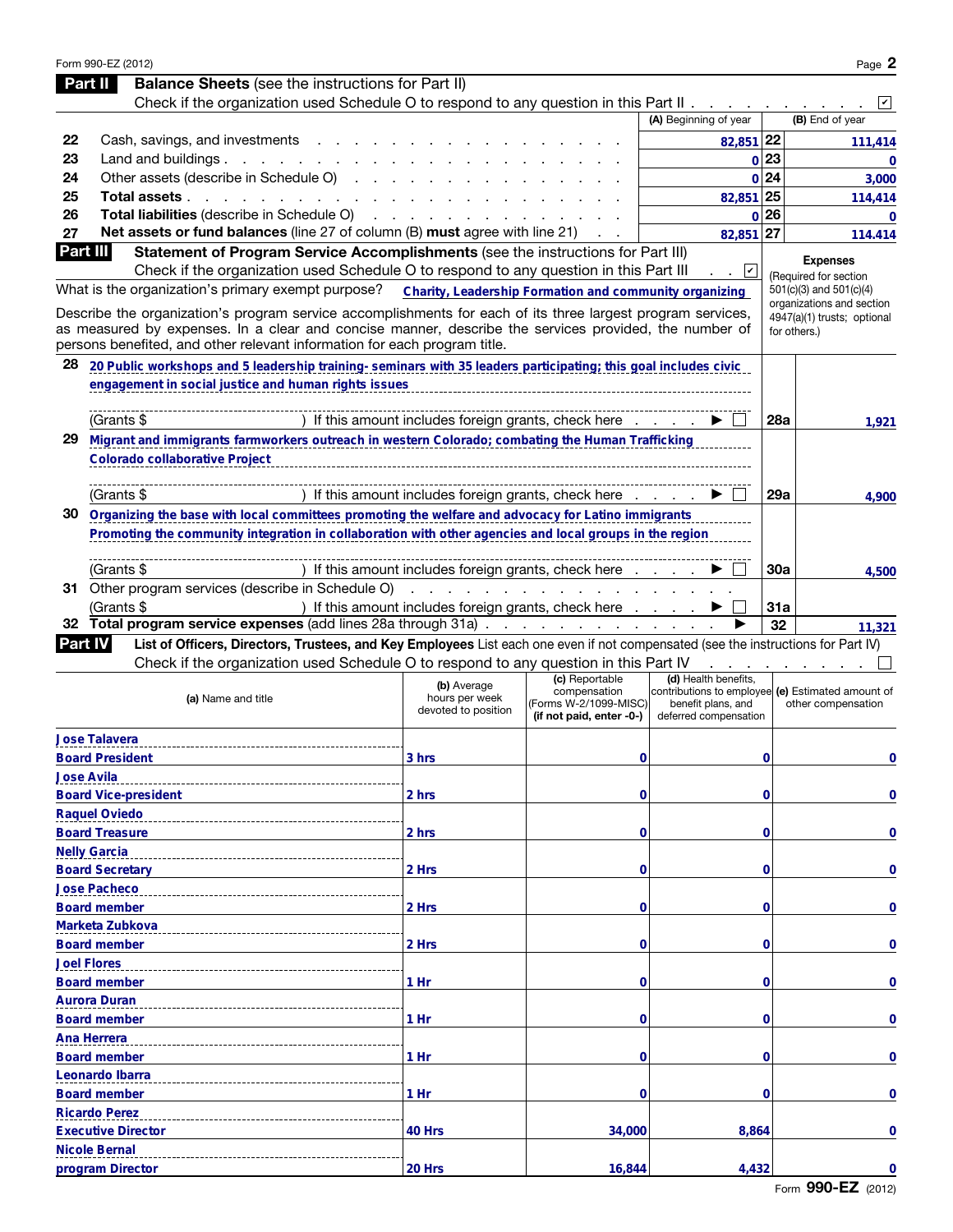|          | Form 990-EZ (2012)                                                                                                                                  |                                                        |                                       |                                                                         |            | Page 2                                                   |
|----------|-----------------------------------------------------------------------------------------------------------------------------------------------------|--------------------------------------------------------|---------------------------------------|-------------------------------------------------------------------------|------------|----------------------------------------------------------|
|          | <b>Balance Sheets</b> (see the instructions for Part II)<br>Part II                                                                                 |                                                        |                                       |                                                                         |            |                                                          |
|          | Check if the organization used Schedule O to respond to any question in this Part II.                                                               |                                                        |                                       |                                                                         |            | V                                                        |
|          |                                                                                                                                                     |                                                        |                                       | (A) Beginning of year                                                   |            | (B) End of year                                          |
| 22       | Cash, savings, and investments.                                                                                                                     |                                                        |                                       | 82,851 22                                                               |            | 111,414                                                  |
| 23       | Land and buildings $\ldots$ $\ldots$ $\ldots$                                                                                                       |                                                        |                                       |                                                                         | 0 23       | $\bf{0}$                                                 |
| 24       | Other assets (describe in Schedule O)                                                                                                               |                                                        |                                       |                                                                         | 0 24       | 3,000                                                    |
| 25       | Total assets..<br>and the contract of the con-                                                                                                      |                                                        |                                       | 82,851 25                                                               |            | 114,414                                                  |
| 26       | Total liabilities (describe in Schedule O)                                                                                                          |                                                        |                                       |                                                                         | 0 26       | $\bf{0}$                                                 |
| 27       | Net assets or fund balances (line 27 of column (B) must agree with line 21)                                                                         |                                                        |                                       | 82,851 27                                                               |            | 114.414                                                  |
| Part III | Statement of Program Service Accomplishments (see the instructions for Part III)                                                                    |                                                        |                                       |                                                                         |            | <b>Expenses</b>                                          |
|          | Check if the organization used Schedule O to respond to any question in this Part III                                                               |                                                        |                                       | ⊻                                                                       |            | (Required for section                                    |
|          | What is the organization's primary exempt purpose?                                                                                                  | Charity, Leadership Formation and community organizing |                                       |                                                                         |            | 501(c)(3) and 501(c)(4)                                  |
|          | Describe the organization's program service accomplishments for each of its three largest program services,                                         |                                                        |                                       |                                                                         |            | organizations and section<br>4947(a)(1) trusts; optional |
|          | as measured by expenses. In a clear and concise manner, describe the services provided, the number of                                               |                                                        |                                       |                                                                         |            | for others.)                                             |
|          | persons benefited, and other relevant information for each program title.                                                                           |                                                        |                                       |                                                                         |            |                                                          |
| 28       | 20 Public workshops and 5 leadership training- seminars with 35 leaders participating; this goal includes civic                                     |                                                        |                                       |                                                                         |            |                                                          |
|          | engagement in social justice and human rights issues                                                                                                |                                                        |                                       |                                                                         |            |                                                          |
|          |                                                                                                                                                     |                                                        |                                       |                                                                         |            |                                                          |
|          | (Grants \$                                                                                                                                          | If this amount includes foreign grants, check here     |                                       |                                                                         | 28a        | 1,921                                                    |
| 29       | Migrant and immigrants farmworkers outreach in western Colorado; combating the Human Trafficking                                                    |                                                        |                                       |                                                                         |            |                                                          |
|          | <b>Colorado collaborative Project</b>                                                                                                               |                                                        |                                       |                                                                         |            |                                                          |
|          | (Grants \$                                                                                                                                          | If this amount includes foreign grants, check here     |                                       |                                                                         | 29a        |                                                          |
| 30       | Organizing the base with local committees promoting the welfare and advocacy for Latino immigrants                                                  |                                                        |                                       |                                                                         |            | 4.900                                                    |
|          | Promoting the community integration in collaboration with other agencies and local groups in the region                                             |                                                        |                                       |                                                                         |            |                                                          |
|          |                                                                                                                                                     |                                                        |                                       |                                                                         |            |                                                          |
|          | (Grants \$                                                                                                                                          | If this amount includes foreign grants, check here     |                                       |                                                                         | 30a        | 4,500                                                    |
|          | 31 Other program services (describe in Schedule O)                                                                                                  |                                                        |                                       |                                                                         |            |                                                          |
|          | (Grants \$                                                                                                                                          | ) If this amount includes foreign grants, check here   |                                       |                                                                         | <b>31a</b> |                                                          |
| 32       | Total program service expenses (add lines 28a through 31a).                                                                                         |                                                        | the contract of the contract of the   |                                                                         | 32         | 11,321                                                   |
|          | List of Officers, Directors, Trustees, and Key Employees List each one even if not compensated (see the instructions for Part IV)<br><b>Part IV</b> |                                                        |                                       |                                                                         |            |                                                          |
|          | Check if the organization used Schedule O to respond to any question in this Part IV                                                                |                                                        |                                       |                                                                         |            |                                                          |
|          |                                                                                                                                                     | (b) Average                                            | (c) Reportable                        | (d) Health benefits,                                                    |            |                                                          |
|          | (a) Name and title                                                                                                                                  | hours per week                                         | compensation<br>(Forms W-2/1099-MISC) | contributions to employee (e) Estimated amount of<br>benefit plans, and |            | other compensation                                       |
|          |                                                                                                                                                     | devoted to position                                    | (if not paid, enter -0-)              | deferred compensation                                                   |            |                                                          |
|          | <b>Jose Talavera</b>                                                                                                                                |                                                        |                                       |                                                                         |            |                                                          |
|          | <b>Board President</b>                                                                                                                              | 3 hrs                                                  | 0                                     |                                                                         | 0          | 0                                                        |
|          | <b>Jose Avila</b>                                                                                                                                   |                                                        |                                       |                                                                         |            |                                                          |
|          | <b>Board Vice-president</b>                                                                                                                         | 2 hrs                                                  | 0                                     |                                                                         | 0          | 0                                                        |
|          | <b>Raquel Oviedo</b>                                                                                                                                |                                                        |                                       |                                                                         |            |                                                          |
|          | <b>Board Treasure</b>                                                                                                                               | 2 hrs                                                  | 0                                     |                                                                         | 0          | 0                                                        |
|          | <b>Nelly Garcia</b>                                                                                                                                 |                                                        |                                       |                                                                         |            |                                                          |
|          | <b>Board Secretary</b>                                                                                                                              | 2 Hrs                                                  | 0                                     |                                                                         | 0          | 0                                                        |
|          | <b>Jose Pacheco</b>                                                                                                                                 |                                                        |                                       |                                                                         |            |                                                          |
|          | <b>Board member</b>                                                                                                                                 | 2 Hrs                                                  | 0                                     |                                                                         | 0          | 0                                                        |
|          | Marketa Zubkova                                                                                                                                     |                                                        |                                       |                                                                         |            |                                                          |
|          | <b>Board member</b>                                                                                                                                 | 2 Hrs                                                  | 0                                     |                                                                         | 0          | 0                                                        |
|          | <b>Joel Flores</b>                                                                                                                                  |                                                        |                                       |                                                                         |            |                                                          |
|          | <b>Board member</b>                                                                                                                                 | 1 Hr                                                   | 0                                     |                                                                         | 0          | 0                                                        |
|          | <b>Aurora Duran</b><br><b>Board member</b>                                                                                                          | 1 Hr                                                   | 0                                     |                                                                         | 0          | 0                                                        |
|          |                                                                                                                                                     |                                                        |                                       |                                                                         |            |                                                          |
|          | <b>Ana Herrera</b>                                                                                                                                  |                                                        |                                       |                                                                         |            |                                                          |
|          |                                                                                                                                                     |                                                        |                                       |                                                                         |            |                                                          |
|          | <b>Board member</b>                                                                                                                                 | 1 Hr                                                   | 0                                     |                                                                         | 0          | 0                                                        |
|          | Leonardo Ibarra                                                                                                                                     |                                                        |                                       |                                                                         |            |                                                          |
|          | <b>Board member</b>                                                                                                                                 | 1 Hr                                                   | 0                                     |                                                                         | 0          | 0                                                        |
|          | <b>Ricardo Perez</b>                                                                                                                                |                                                        |                                       |                                                                         |            |                                                          |
|          | <b>Executive Director</b><br><b>Nicole Bernal</b>                                                                                                   | 40 Hrs                                                 | 34,000                                | 8,864                                                                   |            | 0                                                        |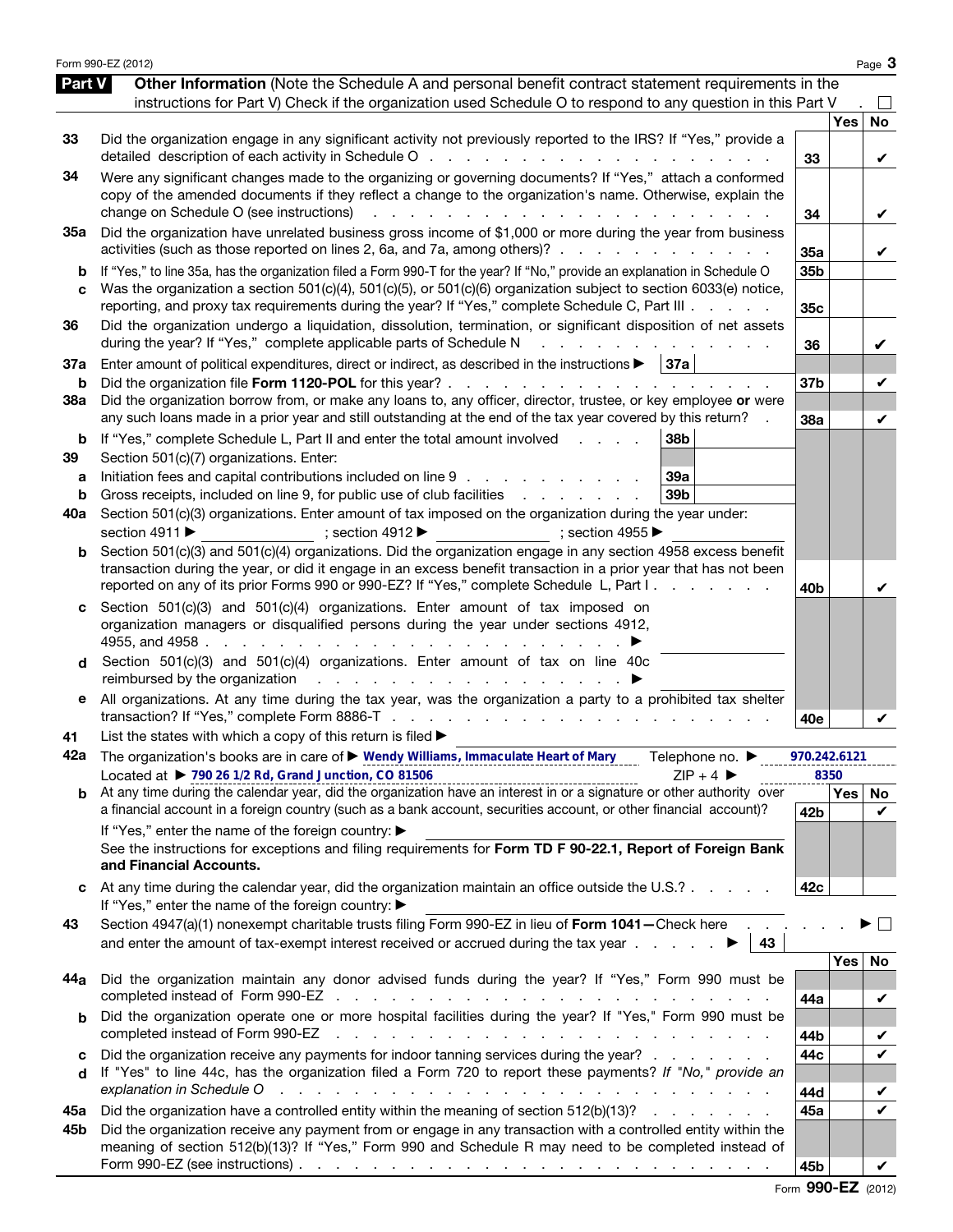|                   | Form 990-EZ (2012)                                                                                                                                                                                                                                                                                                                                                                                                |                        |      | Page 3            |
|-------------------|-------------------------------------------------------------------------------------------------------------------------------------------------------------------------------------------------------------------------------------------------------------------------------------------------------------------------------------------------------------------------------------------------------------------|------------------------|------|-------------------|
| Part V            | Other Information (Note the Schedule A and personal benefit contract statement requirements in the<br>instructions for Part V) Check if the organization used Schedule O to respond to any question in this Part V                                                                                                                                                                                                |                        |      |                   |
| 33                | Did the organization engage in any significant activity not previously reported to the IRS? If "Yes," provide a                                                                                                                                                                                                                                                                                                   | 33                     | Yes  | No<br>V           |
| 34                | Were any significant changes made to the organizing or governing documents? If "Yes," attach a conformed<br>copy of the amended documents if they reflect a change to the organization's name. Otherwise, explain the<br>change on Schedule O (see instructions)<br>.                                                                                                                                             | 34                     |      | V                 |
| 35a               | Did the organization have unrelated business gross income of \$1,000 or more during the year from business<br>activities (such as those reported on lines 2, 6a, and 7a, among others)?                                                                                                                                                                                                                           | 35a                    |      | V                 |
| b<br>C            | If "Yes," to line 35a, has the organization filed a Form 990-T for the year? If "No," provide an explanation in Schedule O<br>Was the organization a section 501(c)(4), 501(c)(5), or 501(c)(6) organization subject to section 6033(e) notice,<br>reporting, and proxy tax requirements during the year? If "Yes," complete Schedule C, Part III                                                                 | 35b<br>35 <sub>c</sub> |      |                   |
| 36                | Did the organization undergo a liquidation, dissolution, termination, or significant disposition of net assets<br>during the year? If "Yes," complete applicable parts of Schedule N<br>and a straight and a straight and                                                                                                                                                                                         | 36                     |      | V                 |
| 37a<br>b          | Enter amount of political expenditures, direct or indirect, as described in the instructions $\blacktriangleright$   37a                                                                                                                                                                                                                                                                                          | 37 <sub>b</sub>        |      | V                 |
| 38a               | Did the organization borrow from, or make any loans to, any officer, director, trustee, or key employee or were<br>any such loans made in a prior year and still outstanding at the end of the tax year covered by this return?                                                                                                                                                                                   | 38a                    |      | V                 |
| b<br>39<br>а<br>b | If "Yes," complete Schedule L, Part II and enter the total amount involved<br>38 <sub>b</sub><br>Section 501(c)(7) organizations. Enter:<br>Initiation fees and capital contributions included on line 9<br>39a<br>Gross receipts, included on line 9, for public use of club facilities<br>39 <sub>b</sub>                                                                                                       |                        |      |                   |
| 40a               | Section 501(c)(3) organizations. Enter amount of tax imposed on the organization during the year under:<br>section 4911 ▶<br>; section $4912 \blacktriangleright$<br>; section 4955 $\blacktriangleright$                                                                                                                                                                                                         |                        |      |                   |
| b                 | Section 501(c)(3) and 501(c)(4) organizations. Did the organization engage in any section 4958 excess benefit<br>transaction during the year, or did it engage in an excess benefit transaction in a prior year that has not been<br>reported on any of its prior Forms 990 or 990-EZ? If "Yes," complete Schedule L, Part I.                                                                                     | 40 <sub>b</sub>        |      | V                 |
| C<br>d            | Section $501(c)(3)$ and $501(c)(4)$ organizations. Enter amount of tax imposed on<br>organization managers or disqualified persons during the year under sections 4912,<br>Section 501(c)(3) and 501(c)(4) organizations. Enter amount of tax on line 40c                                                                                                                                                         |                        |      |                   |
| е                 | reimbursed by the organization resources and resources and resources in the set of the original resources in the set of the set of the set of the set of the set of the set of the set of the set of the set of the set of the<br>All organizations. At any time during the tax year, was the organization a party to a prohibited tax shelter                                                                    | 40e                    |      |                   |
| 41                | List the states with which a copy of this return is filed >                                                                                                                                                                                                                                                                                                                                                       |                        |      |                   |
| 42a               | The organization's books are in care of ▶ Wendy Williams, Immaculate Heart of Mary<br>Telephone no. ▶<br>Located at ▶ 790 26 1/2 Rd, Grand Junction, CO 81506<br>$ZIP + 4$                                                                                                                                                                                                                                        | 970.242.6121           | 8350 |                   |
|                   | $\mathbf{b}$ At any time during the calendar year, did the organization have an interest in or a signature or other authority over                                                                                                                                                                                                                                                                                |                        | Yes  | No                |
|                   | a financial account in a foreign country (such as a bank account, securities account, or other financial account)?                                                                                                                                                                                                                                                                                                | 42b                    |      | V                 |
|                   | If "Yes," enter the name of the foreign country: ▶<br>See the instructions for exceptions and filing requirements for Form TD F 90-22.1, Report of Foreign Bank<br>and Financial Accounts.                                                                                                                                                                                                                        |                        |      |                   |
|                   | At any time during the calendar year, did the organization maintain an office outside the U.S.?<br>If "Yes," enter the name of the foreign country: ▶                                                                                                                                                                                                                                                             | 42c                    |      |                   |
| 43                | Section 4947(a)(1) nonexempt charitable trusts filing Form 990-EZ in lieu of Form 1041-Check here<br>and enter the amount of tax-exempt interest received or accrued during the tax year $\ldots$<br>43                                                                                                                                                                                                           |                        |      |                   |
| 44a               | Did the organization maintain any donor advised funds during the year? If "Yes," Form 990 must be<br>and a series of the contract of the contract of the contract of the contract of the contract of the contract of                                                                                                                                                                                              |                        | Yes  | No                |
| b                 | completed instead of Form 990-EZ<br>Did the organization operate one or more hospital facilities during the year? If "Yes," Form 990 must be<br>completed instead of Form 990-EZ<br>and a construction of the construction of the construction of the construction of the construction of the construction of the construction of the construction of the construction of the construction of the construction of | 44a                    |      | V                 |
| c                 | Did the organization receive any payments for indoor tanning services during the year?                                                                                                                                                                                                                                                                                                                            | 44b<br>44c             |      | V<br>$\checkmark$ |
| d                 | If "Yes" to line 44c, has the organization filed a Form 720 to report these payments? If "No," provide an<br>explanation in Schedule O                                                                                                                                                                                                                                                                            | 44d                    |      | V                 |
| 45а               | Did the organization have a controlled entity within the meaning of section 512(b)(13)?                                                                                                                                                                                                                                                                                                                           | 45a                    |      | V                 |
| 45b               | Did the organization receive any payment from or engage in any transaction with a controlled entity within the<br>meaning of section 512(b)(13)? If "Yes," Form 990 and Schedule R may need to be completed instead of<br>Form 990-EZ (see instructions) $\ldots$ $\ldots$ $\ldots$ $\ldots$ $\ldots$ $\ldots$ $\ldots$ $\ldots$ $\ldots$ $\ldots$ $\ldots$                                                       | 45b                    |      |                   |

Form 990-EZ (2012)